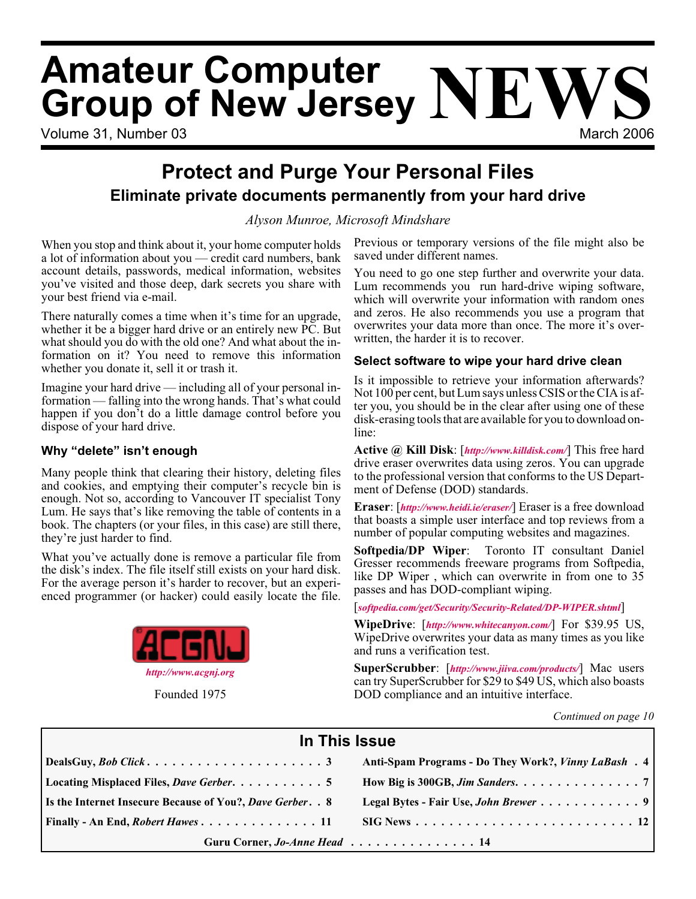# Volume 31, Number 03 March 2006 **Amateur Computer Group of New Jersey NEWS**

# **Protect and Purge Your Personal Files Eliminate private documents permanently from your hard drive**

*Alyson Munroe, Microsoft Mindshare*

When you stop and think about it, your home computer holds a lot of information about you — credit card numbers, bank account details, passwords, medical information, websites you've visited and those deep, dark secrets you share with your best friend via e-mail.

There naturally comes a time when it's time for an upgrade, whether it be a bigger hard drive or an entirely new PC. But what should you do with the old one? And what about the information on it? You need to remove this information whether you donate it, sell it or trash it.

Imagine your hard drive — including all of your personal information — falling into the wrong hands. That's what could happen if you don't do a little damage control before you dispose of your hard drive.

#### **Why "delete" isn't enough**

Many people think that clearing their history, deleting files and cookies, and emptying their computer's recycle bin is enough. Not so, according to Vancouver IT specialist Tony Lum. He says that's like removing the table of contents in a book. The chapters (or your files, in this case) are still there, they're just harder to find.

What you've actually done is remove a particular file from the disk's index. The file itself still exists on your hard disk. For the average person it's harder to recover, but an experienced programmer (or hacker) could easily locate the file.



Founded 1975

Previous or temporary versions of the file might also be saved under different names.

You need to go one step further and overwrite your data. Lum recommends you run hard-drive wiping software, which will overwrite your information with random ones and zeros. He also recommends you use a program that overwrites your data more than once. The more it's overwritten, the harder it is to recover.

#### **Select software to wipe your hard drive clean**

Is it impossible to retrieve your information afterwards? Not 100 per cent, but Lum says unless CSIS or the CIA is after you, you should be in the clear after using one of these disk-erasing tools that are available for you to download online:

**Active @ Kill Disk**: [*<http://www.killdisk.com/>*] This free hard drive eraser overwrites data using zeros. You can upgrade to the professional version that conforms to the US Department of Defense (DOD) standards.

**Eraser**: [*<http://www.heidi.ie/eraser/>*] Eraser is a free download that boasts a simple user interface and top reviews from a number of popular computing websites and magazines.

**Softpedia/DP Wiper**: Toronto IT consultant Daniel Gresser recommends freeware programs from Softpedia, like DP Wiper , which can overwrite in from one to 35 passes and has DOD-compliant wiping.

[*[softpedia.com/get/Security/Security-Related/DP-WIPER.shtml](http://www.softpedia.com/get/Security/Security-Related/DP-WIPER.shtml)*]

**WipeDrive**: [*<http://www.whitecanyon.com/>*] For \$39.95 US, WipeDrive overwrites your data as many times as you like and runs a verification test.

**SuperScrubber**: [*<http://www.jiiva.com/products/>*] Mac users can try SuperScrubber for \$29 to \$49 US, which also boasts DOD compliance and an intuitive interface.

*Continued on page 10*

| In This Issue                                                     |                                                                                  |  |  |  |
|-------------------------------------------------------------------|----------------------------------------------------------------------------------|--|--|--|
|                                                                   | Anti-Spam Programs - Do They Work?, Vinny LaBash . 4                             |  |  |  |
| Locating Misplaced Files, Dave Gerber. 5                          | How Big is 300GB, Jim Sanders. $\dots \dots \dots \dots \dots \dots \dots$       |  |  |  |
| <b>Is the Internet Insecure Because of You?, Dave Gerber. . 8</b> |                                                                                  |  |  |  |
| $\vert$ Finally - An End, <i>Robert Hawes</i> 11                  | $\text{SIG News} \dots \dots \dots \dots \dots \dots \dots \dots \dots \dots 12$ |  |  |  |
| Guru Corner, Jo-Anne Head 14                                      |                                                                                  |  |  |  |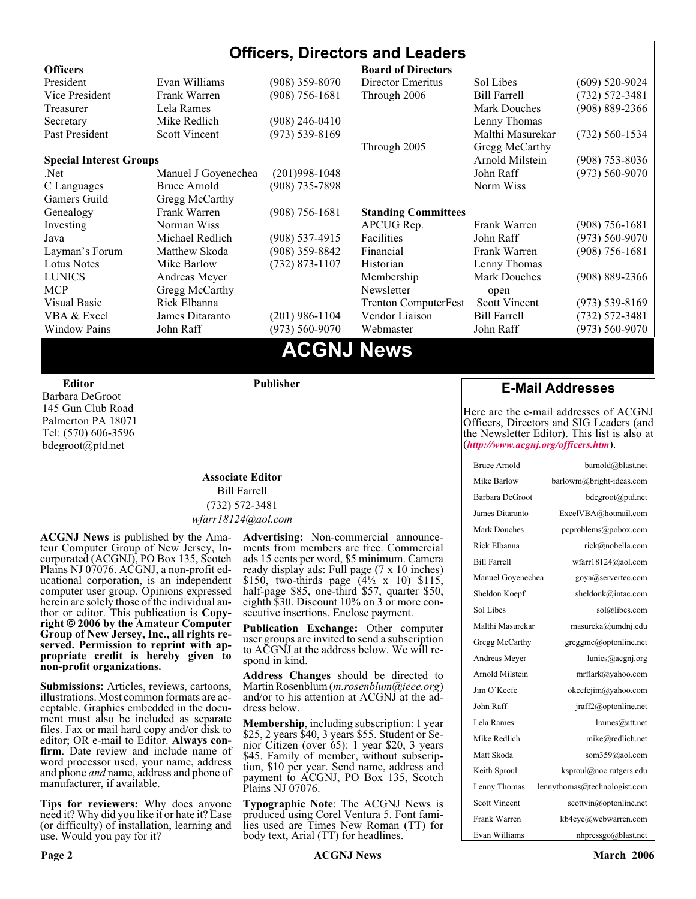#### **Officers, Directors and Leaders Officers Board of Directors**<br> **President** Evan Williams (908) 359-8070 Director Emeritus (908) 359-8070 Director Emeritus Sol Libes (609) 520-9024 Vice President Frank Warren (908) 756-1681 Through 2006 Bill Farrell (732) 572-3481 Treasurer Lela Rames Lela Annes (908) 889-2366 Secretary Mike Redlich (908) 246-0410 Lenny Thomas Past President Scott Vincent (973) 539-8169 Malthi Masurekar (732) 560-1534 Through 2005 Gregg McCarthy **Special Interest Groups Arnold Milstein** (908) 753-8036 Net 1973) Manuel J Goyenechea (201)998-1048<br>C Languages Bruce Arnold (908) 735-7898 100 Norm Wiss C Languages Bruce Arnold (908) 735-7898 Gamers Guild Gregg McCarthy Genealogy Frank Warren (908) 756-1681 **Standing Committees** Investing Norman Wiss APCUG Rep. Frank Warren (908) 756-1681<br>Java Michael Redlich (908) 537-4915 Facilities John Raff (973) 560-9070 Java Michael Redlich (908) 537-4915 Facilities John Raff (973) 560-9070 Layman's Forum Matthew Skoda (908) 359-8842 Financial Frank Warren (908) 756-1681 Lotus Notes Mike Barlow (732) 873-1107 Historian Lenny Thomas LUNICS Andreas Meyer Membership Mark Douches (908) 889-2366 MCP Gregg McCarthy Newsletter — open — Visual Basic Rick Elbanna Trenton ComputerFest Scott Vincent (973) 539-8169 VBA & Excel James Ditaranto (201) 986-1104 Vendor Liaison Bill Farrell (732) 572-3481 Window Pains John Raff (973) 560-9070 Webmaster John Raff (973) 560-9070

# **ACGNJ News**

**Editor**

Barbara DeGroot 145 Gun Club Road Palmerton PA 18071 Tel: (570) 606-3596 bdegroot@ptd.net

#### **Associate Editor** Bill Farrell (732) 572-3481 *wfarr18124@aol.com*

**Publisher**

**ACGNJ News** is published by the Ama- teur Computer Group of New Jersey, In- corporated (ACGNJ), PO Box 135, Scotch Plains NJ 07076. ACGNJ, a non-profit ed-<br>ucational corporation, is an independent computer user group. Opinions expressed<br>herein are solely those of the individual author or editor. This publication is **Copy-**<br>right © 2006 by the Amateur Computer<br>Group of New Jersey, Inc., all rights re-**Group of New Jersey, Inc., all rights re- served. Permission to reprint with ap- propriate credit is hereby given to non-profit organizations.**

**Submissions:** Articles, reviews, cartoons, illustrations. Most common formats are acceptable. Graphics embedded in the docu-<br>ment must also be included as separate files. Fax or mail hard copy and/or disk to editor: OR e-mail to Editor. **Always con**firm. Date review and include name of word processor used, your name, address and phone *and* name, address and phone of manufacturer, if available.

**Tips for reviewers:** Why does anyone need it? Why did you like it or hate it? Ease (or difficulty) of installation, learning and use. Would you pay for it?

**Advertising:** Non-commercial announce- ments from members are free. Commercial ads 15 cents per word, \$5 minimum. Camera ready display ads: Full page (7 x 10 inches) \$150, two-thirds page (4½ x 10) \$115, half-page \$85, one-third \$57, quarter \$50, eighth \$30. Discount 10% on 3 or more con- secutive insertions. Enclose payment.

**Publication Exchange:** Other computer user groups are invited to send a subscription to ACGNJ at the address below. We will re- spond in kind.

**Address Changes** should be directed to Martin Rosenblum (*m.rosenblum@ieee.org*) and/or to his attention at ACGNJ at the ad- dress below.

**Membership**, including subscription: 1 year \$25, 2 years \$40, 3 years \$55. Student or Senior Citizen (over 65): 1 year \$20, 3 years \$45. Family of member, without subscription, \$10 per year. Send name, address and payment to ACGNJ, PO Box 135, Scotch Plains NJ 07076.

**Typographic Note**: The ACGNJ News is produced using Corel Ventura 5. Font fami- lies used are Times New Roman (TT) for body text, Arial (TT) for headlines.

#### **E-Mail Addresses**

Here are the e-mail addresses of ACGNJ Officers, Directors and SIG Leaders (and the Newsletter Editor). This list is also at (*<http://www.acgnj.org/officers.htm>*).

| Bruce Arnold         | barnold@blast.net            |
|----------------------|------------------------------|
| Mike Barlow          | barlowm@bright-ideas.com     |
| Barbara DeGroot      | bdegroot@ptd.net             |
| James Ditaranto      | ExcelVBA@hotmail.com         |
| Mark Douches         | pcproblems@pobox.com         |
| Rick Elbanna         | rick@nobella.com             |
| <b>Bill Farrell</b>  | wfarr18124@aol.com           |
| Manuel Goyenechea    | goya@servertec.com           |
| Sheldon Koepf        | sheldonk@intac.com           |
| Sol Libes            | sol@libes.com                |
| Malthi Masurekar     | masureka@umdnj.edu           |
| Gregg McCarthy       | greggmc@optonline.net        |
| Andreas Meyer        | lunics@acgnj.org             |
| Arnold Milstein      | mrflark@yahoo.com            |
| Jim O'Keefe          | okeefejim@yahoo.com          |
| John Raff            | jraff2@optonline.net         |
| Lela Rames           | lrames@att.net               |
| Mike Redlich         | mike@redlich.net             |
| Matt Skoda           | som359@aol.com               |
| Keith Sproul         | ksproul@noc.rutgers.edu      |
| Lenny Thomas         | lennythomas@technologist.com |
| <b>Scott Vincent</b> | scottvin@optonline.net       |
| Frank Warren         | kb4cyc@webwarren.com         |
| Evan Williams        | nhpressgo@blast.net          |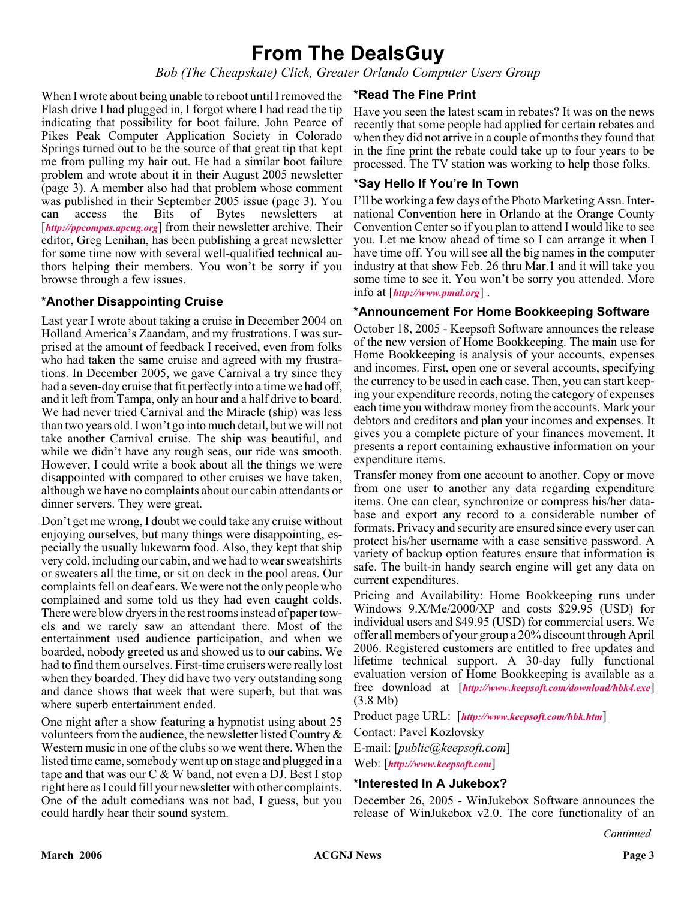# **From The DealsGuy**

*Bob (The Cheapskate) Click, Greater Orlando Computer Users Group*

When I wrote about being unable to reboot until I removed the Flash drive I had plugged in, I forgot where I had read the tip indicating that possibility for boot failure. John Pearce of Pikes Peak Computer Application Society in Colorado Springs turned out to be the source of that great tip that kept me from pulling my hair out. He had a similar boot failure problem and wrote about it in their August 2005 newsletter (page 3). A member also had that problem whose comment was published in their September 2005 issue (page 3). You can access the Bits of Bytes newsletters at [*<http://ppcompas.apcug.org>*] from their newsletter archive. Their editor, Greg Lenihan, has been publishing a great newsletter for some time now with several well-qualified technical authors helping their members. You won't be sorry if you browse through a few issues.

#### **\*Another Disappointing Cruise**

Last year I wrote about taking a cruise in December 2004 on Holland America's Zaandam, and my frustrations. I was surprised at the amount of feedback I received, even from folks who had taken the same cruise and agreed with my frustrations. In December 2005, we gave Carnival a try since they had a seven-day cruise that fit perfectly into a time we had off, and it left from Tampa, only an hour and a half drive to board. We had never tried Carnival and the Miracle (ship) was less than two years old. I won't go into much detail, but we will not take another Carnival cruise. The ship was beautiful, and while we didn't have any rough seas, our ride was smooth. However, I could write a book about all the things we were disappointed with compared to other cruises we have taken, although we have no complaints about our cabin attendants or dinner servers. They were great.

Don't get me wrong, I doubt we could take any cruise without enjoying ourselves, but many things were disappointing, especially the usually lukewarm food. Also, they kept that ship very cold, including our cabin, and we had to wear sweatshirts or sweaters all the time, or sit on deck in the pool areas. Our complaints fell on deaf ears. We were not the only people who complained and some told us they had even caught colds. There were blow dryers in the rest rooms instead of paper towels and we rarely saw an attendant there. Most of the entertainment used audience participation, and when we boarded, nobody greeted us and showed us to our cabins. We had to find them ourselves. First-time cruisers were really lost when they boarded. They did have two very outstanding song and dance shows that week that were superb, but that was where superb entertainment ended.

One night after a show featuring a hypnotist using about 25 volunteers from the audience, the newsletter listed Country & Western music in one of the clubs so we went there. When the listed time came, somebody went up on stage and plugged in a tape and that was our C & W band, not even a DJ. Best I stop right here as I could fill your newsletter with other complaints. One of the adult comedians was not bad, I guess, but you could hardly hear their sound system.

#### **\*Read The Fine Print**

Have you seen the latest scam in rebates? It was on the news recently that some people had applied for certain rebates and when they did not arrive in a couple of months they found that in the fine print the rebate could take up to four years to be processed. The TV station was working to help those folks.

#### **\*Say Hello If You're In Town**

I'll be working a few days of the Photo Marketing Assn. International Convention here in Orlando at the Orange County Convention Center so if you plan to attend I would like to see you. Let me know ahead of time so I can arrange it when I have time off. You will see all the big names in the computer industry at that show Feb. 26 thru Mar.1 and it will take you some time to see it. You won't be sorry you attended. More info at [*<http://www.pmai.org>*] .

#### **\*Announcement For Home Bookkeeping Software**

October 18, 2005 - Keepsoft Software announces the release of the new version of Home Bookkeeping. The main use for Home Bookkeeping is analysis of your accounts, expenses and incomes. First, open one or several accounts, specifying the currency to be used in each case. Then, you can start keeping your expenditure records, noting the category of expenses each time you withdraw money from the accounts. Mark your debtors and creditors and plan your incomes and expenses. It gives you a complete picture of your finances movement. It presents a report containing exhaustive information on your expenditure items.

Transfer money from one account to another. Copy or move from one user to another any data regarding expenditure items. One can clear, synchronize or compress his/her database and export any record to a considerable number of formats. Privacy and security are ensured since every user can protect his/her username with a case sensitive password. A variety of backup option features ensure that information is safe. The built-in handy search engine will get any data on current expenditures.

Pricing and Availability: Home Bookkeeping runs under Windows 9.X/Me/2000/XP and costs \$29.95 (USD) for individual users and \$49.95 (USD) for commercial users. We offer all members of your group a 20% discount through April 2006. Registered customers are entitled to free updates and lifetime technical support. A 30-day fully functional evaluation version of Home Bookkeeping is available as a free download at [*<http://www.keepsoft.com/download/hbk4.exe>*] (3.8 Mb)

Product page URL: [*<http://www.keepsoft.com/hbk.htm>*]

Contact: Pavel Kozlovsky

E-mail: [*public@keepsoft.com*]

Web: [*<http://www.keepsoft.com>*]

#### **\*Interested In A Jukebox?**

December 26, 2005 - WinJukebox Software announces the release of WinJukebox v2.0. The core functionality of an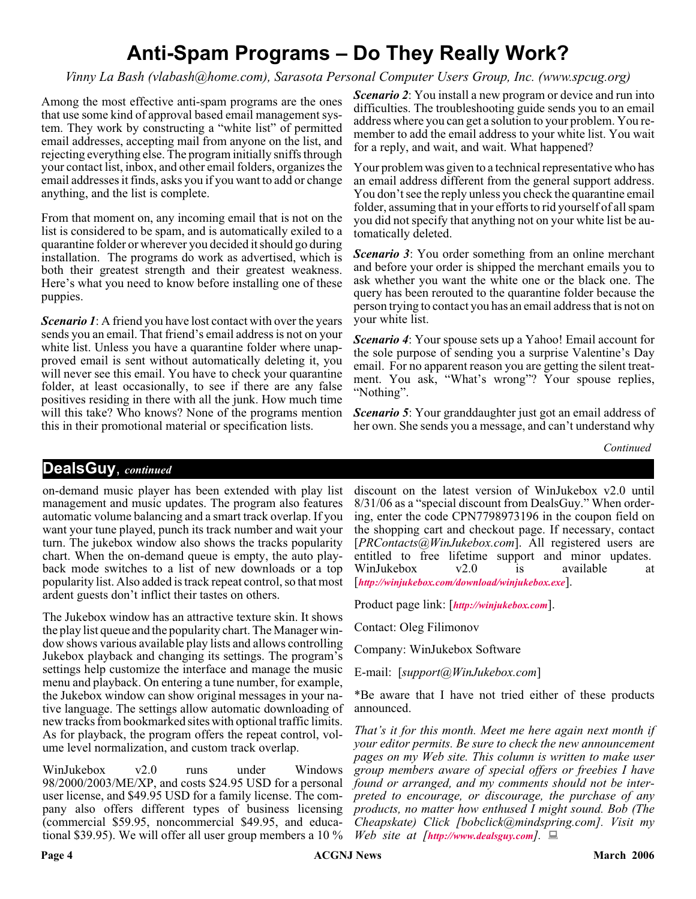# **Anti-Spam Programs – Do They Really Work?**

*Vinny La Bash (vlabash@home.com), Sarasota Personal Computer Users Group, Inc. (www.spcug.org)*

Among the most effective anti-spam programs are the ones that use some kind of approval based email management system. They work by constructing a "white list" of permitted email addresses, accepting mail from anyone on the list, and rejecting everything else. The program initially sniffs through your contact list, inbox, and other email folders, organizes the email addresses it finds, asks you if you want to add or change anything, and the list is complete.

From that moment on, any incoming email that is not on the list is considered to be spam, and is automatically exiled to a quarantine folder or wherever you decided it should go during installation. The programs do work as advertised, which is both their greatest strength and their greatest weakness. Here's what you need to know before installing one of these puppies.

*Scenario 1*: A friend you have lost contact with over the years sends you an email. That friend's email address is not on your white list. Unless you have a quarantine folder where unapproved email is sent without automatically deleting it, you will never see this email. You have to check your quarantine folder, at least occasionally, to see if there are any false positives residing in there with all the junk. How much time will this take? Who knows? None of the programs mention this in their promotional material or specification lists.

*Scenario 2*: You install a new program or device and run into difficulties. The troubleshooting guide sends you to an email address where you can get a solution to your problem. You remember to add the email address to your white list. You wait for a reply, and wait, and wait. What happened?

Your problem was given to a technical representative who has an email address different from the general support address. You don't see the reply unless you check the quarantine email folder, assuming that in your efforts to rid yourself of all spam you did not specify that anything not on your white list be automatically deleted.

*Scenario 3*: You order something from an online merchant and before your order is shipped the merchant emails you to ask whether you want the white one or the black one. The query has been rerouted to the quarantine folder because the person trying to contact you has an email address that is not on your white list.

*Scenario 4*: Your spouse sets up a Yahoo! Email account for the sole purpose of sending you a surprise Valentine's Day email. For no apparent reason you are getting the silent treatment. You ask, "What's wrong"? Your spouse replies, "Nothing".

*Scenario 5*: Your granddaughter just got an email address of her own. She sends you a message, and can't understand why

*Continued*

#### **DealsGuy**, *continued*

on-demand music player has been extended with play list management and music updates. The program also features automatic volume balancing and a smart track overlap. If you want your tune played, punch its track number and wait your turn. The jukebox window also shows the tracks popularity chart. When the on-demand queue is empty, the auto playback mode switches to a list of new downloads or a top popularity list. Also added is track repeat control, so that most ardent guests don't inflict their tastes on others.

The Jukebox window has an attractive texture skin. It shows the play list queue and the popularity chart. The Manager window shows various available play lists and allows controlling Jukebox playback and changing its settings. The program's settings help customize the interface and manage the music menu and playback. On entering a tune number, for example, the Jukebox window can show original messages in your native language. The settings allow automatic downloading of new tracks from bookmarked sites with optional traffic limits. As for playback, the program offers the repeat control, volume level normalization, and custom track overlap.

WinJukebox v2.0 runs under Windows 98/2000/2003/ME/XP, and costs \$24.95 USD for a personal user license, and \$49.95 USD for a family license. The company also offers different types of business licensing (commercial \$59.95, noncommercial \$49.95, and educational \$39.95). We will offer all user group members a 10 %

discount on the latest version of WinJukebox v2.0 until 8/31/06 as a "special discount from DealsGuy." When ordering, enter the code CPN7798973196 in the coupon field on the shopping cart and checkout page. If necessary, contact [*PRContacts@WinJukebox.com*]. All registered users are entitled to free lifetime support and minor updates. WinJukebox v2.0 is available at [*<http://winjukebox.com/download/winjukebox.exe>*].

Product page link: [*<http://winjukebox.com>*].

Contact: Oleg Filimonov

Company: WinJukebox Software

E-mail: [*support@WinJukebox.com*]

\*Be aware that I have not tried either of these products announced.

*That's it for this month. Meet me here again next month if your editor permits. Be sure to check the new announcement pages on my Web site. This column is written to make user group members aware of special offers or freebies I have found or arranged, and my comments should not be interpreted to encourage, or discourage, the purchase of any products, no matter how enthused I might sound. Bob (The Cheapskate) Click [bobclick@mindspring.com]. Visit my Web site at [<http://www.dealsguy.com>].*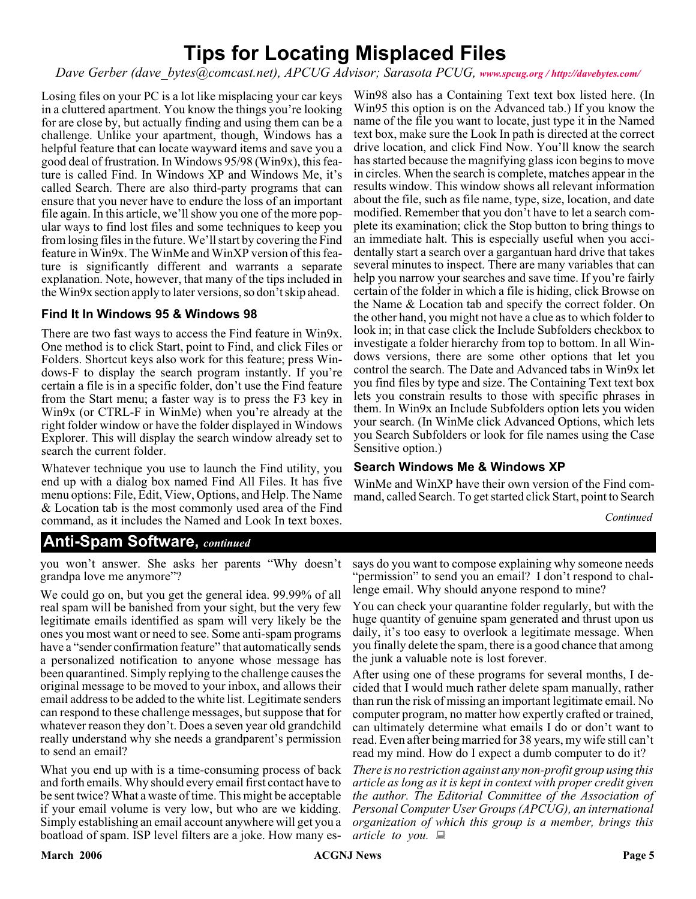# **Tips for Locating Misplaced Files**

*Dave Gerber (dave\_bytes@comcast.net), APCUG Advisor; Sarasota PCUG, [www.spcug.org / http://davebytes.com/](http://www.spcug.org / http://davebytes.com/)*

Losing files on your PC is a lot like misplacing your car keys in a cluttered apartment. You know the things you're looking for are close by, but actually finding and using them can be a challenge. Unlike your apartment, though, Windows has a helpful feature that can locate wayward items and save you a good deal of frustration. In Windows 95/98 (Win9x), this feature is called Find. In Windows XP and Windows Me, it's called Search. There are also third-party programs that can ensure that you never have to endure the loss of an important file again. In this article, we'll show you one of the more popular ways to find lost files and some techniques to keep you from losing files in the future. We'll start by covering the Find feature in Win9x. The WinMe and WinXP version of this feature is significantly different and warrants a separate explanation. Note, however, that many of the tips included in the Win9x section apply to later versions, so don't skip ahead.

#### **Find It In Windows 95 & Windows 98**

There are two fast ways to access the Find feature in Win9x. One method is to click Start, point to Find, and click Files or Folders. Shortcut keys also work for this feature; press Windows-F to display the search program instantly. If you're certain a file is in a specific folder, don't use the Find feature from the Start menu; a faster way is to press the F3 key in Win9x (or CTRL-F in WinMe) when you're already at the right folder window or have the folder displayed in Windows Explorer. This will display the search window already set to search the current folder.

Whatever technique you use to launch the Find utility, you end up with a dialog box named Find All Files. It has five menu options: File, Edit, View, Options, and Help. The Name & Location tab is the most commonly used area of the Find command, as it includes the Named and Look In text boxes.

Win98 also has a Containing Text text box listed here. (In Win95 this option is on the Advanced tab.) If you know the name of the file you want to locate, just type it in the Named text box, make sure the Look In path is directed at the correct drive location, and click Find Now. You'll know the search has started because the magnifying glass icon begins to move in circles. When the search is complete, matches appear in the results window. This window shows all relevant information about the file, such as file name, type, size, location, and date modified. Remember that you don't have to let a search complete its examination; click the Stop button to bring things to an immediate halt. This is especially useful when you accidentally start a search over a gargantuan hard drive that takes several minutes to inspect. There are many variables that can help you narrow your searches and save time. If you're fairly certain of the folder in which a file is hiding, click Browse on the Name & Location tab and specify the correct folder. On the other hand, you might not have a clue as to which folder to look in; in that case click the Include Subfolders checkbox to investigate a folder hierarchy from top to bottom. In all Windows versions, there are some other options that let you control the search. The Date and Advanced tabs in Win9x let you find files by type and size. The Containing Text text box lets you constrain results to those with specific phrases in them. In Win9x an Include Subfolders option lets you widen your search. (In WinMe click Advanced Options, which lets you Search Subfolders or look for file names using the Case Sensitive option.)

#### **Search Windows Me & Windows XP**

WinMe and WinXP have their own version of the Find command, called Search. To get started click Start, point to Search

*Continued*

#### **Anti-Spam Software,** *continued*

you won't answer. She asks her parents "Why doesn't grandpa love me anymore"?

We could go on, but you get the general idea. 99.99% of all real spam will be banished from your sight, but the very few legitimate emails identified as spam will very likely be the ones you most want or need to see. Some anti-spam programs have a "sender confirmation feature" that automatically sends a personalized notification to anyone whose message has been quarantined. Simply replying to the challenge causes the original message to be moved to your inbox, and allows their email address to be added to the white list. Legitimate senders can respond to these challenge messages, but suppose that for whatever reason they don't. Does a seven year old grandchild really understand why she needs a grandparent's permission to send an email?

What you end up with is a time-consuming process of back and forth emails. Why should every email first contact have to be sent twice? What a waste of time. This might be acceptable if your email volume is very low, but who are we kidding. Simply establishing an email account anywhere will get you a boatload of spam. ISP level filters are a joke. How many es-

says do you want to compose explaining why someone needs "permission" to send you an email? I don't respond to challenge email. Why should anyone respond to mine?

You can check your quarantine folder regularly, but with the huge quantity of genuine spam generated and thrust upon us daily, it's too easy to overlook a legitimate message. When you finally delete the spam, there is a good chance that among the junk a valuable note is lost forever.

After using one of these programs for several months, I decided that I would much rather delete spam manually, rather than run the risk of missing an important legitimate email. No computer program, no matter how expertly crafted or trained, can ultimately determine what emails I do or don't want to read. Even after being married for 38 years, my wife still can't read my mind. How do I expect a dumb computer to do it?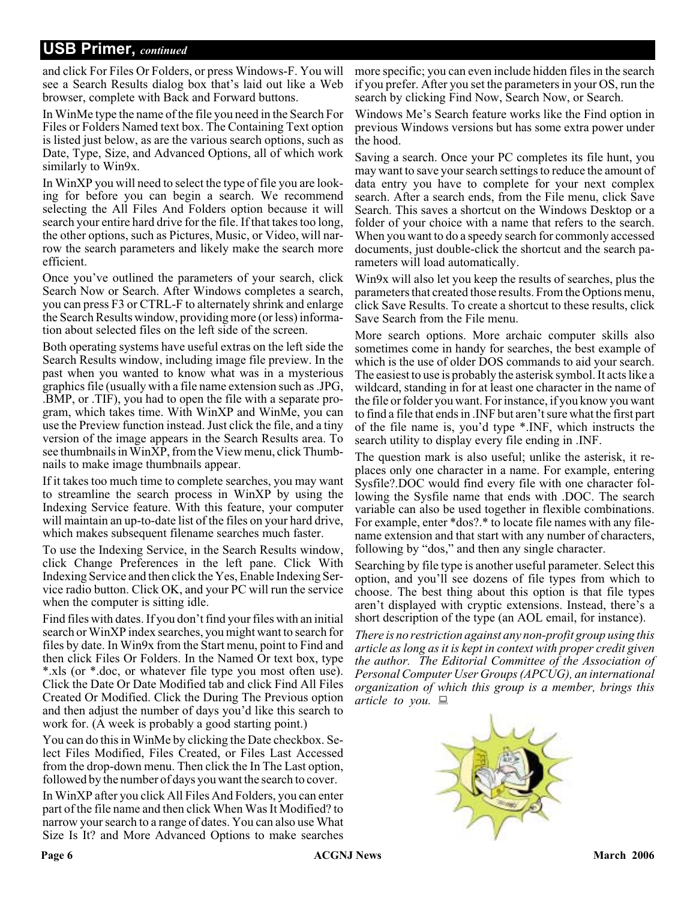### **USB Primer,** *continued*

and click For Files Or Folders, or press Windows-F. You will see a Search Results dialog box that's laid out like a Web browser, complete with Back and Forward buttons.

In WinMe type the name of the file you need in the Search For Files or Folders Named text box. The Containing Text option is listed just below, as are the various search options, such as Date, Type, Size, and Advanced Options, all of which work similarly to Win9x.

In WinXP you will need to select the type of file you are looking for before you can begin a search. We recommend selecting the All Files And Folders option because it will search your entire hard drive for the file. If that takes too long, the other options, such as Pictures, Music, or Video, will narrow the search parameters and likely make the search more efficient.

Once you've outlined the parameters of your search, click Search Now or Search. After Windows completes a search, you can press F3 or CTRL-F to alternately shrink and enlarge the Search Results window, providing more (or less) information about selected files on the left side of the screen.

Both operating systems have useful extras on the left side the Search Results window, including image file preview. In the past when you wanted to know what was in a mysterious graphics file (usually with a file name extension such as .JPG, .BMP, or .TIF), you had to open the file with a separate program, which takes time. With WinXP and WinMe, you can use the Preview function instead. Just click the file, and a tiny version of the image appears in the Search Results area. To see thumbnails in WinXP, from the View menu, click Thumbnails to make image thumbnails appear.

If it takes too much time to complete searches, you may want to streamline the search process in WinXP by using the Indexing Service feature. With this feature, your computer will maintain an up-to-date list of the files on your hard drive, which makes subsequent filename searches much faster.

To use the Indexing Service, in the Search Results window, click Change Preferences in the left pane. Click With Indexing Service and then click the Yes, Enable Indexing Service radio button. Click OK, and your PC will run the service when the computer is sitting idle.

Find files with dates. If you don't find your files with an initial search or WinXP index searches, you might want to search for files by date. In Win9x from the Start menu, point to Find and then click Files Or Folders. In the Named Or text box, type \*.xls (or \*.doc, or whatever file type you most often use). Click the Date Or Date Modified tab and click Find All Files Created Or Modified. Click the During The Previous option and then adjust the number of days you'd like this search to work for. (A week is probably a good starting point.)

You can do this in WinMe by clicking the Date checkbox. Select Files Modified, Files Created, or Files Last Accessed from the drop-down menu. Then click the In The Last option, followed by the number of days you want the search to cover.

In WinXP after you click All Files And Folders, you can enter part of the file name and then click When Was It Modified? to narrow your search to a range of dates. You can also use What Size Is It? and More Advanced Options to make searches

more specific; you can even include hidden files in the search if you prefer. After you set the parameters in your OS, run the search by clicking Find Now, Search Now, or Search.

Windows Me's Search feature works like the Find option in previous Windows versions but has some extra power under the hood.

Saving a search. Once your PC completes its file hunt, you may want to save your search settings to reduce the amount of data entry you have to complete for your next complex search. After a search ends, from the File menu, click Save Search. This saves a shortcut on the Windows Desktop or a folder of your choice with a name that refers to the search. When you want to do a speedy search for commonly accessed documents, just double-click the shortcut and the search parameters will load automatically.

Win9x will also let you keep the results of searches, plus the parameters that created those results. From the Options menu, click Save Results. To create a shortcut to these results, click Save Search from the File menu.

More search options. More archaic computer skills also sometimes come in handy for searches, the best example of which is the use of older DOS commands to aid your search. The easiest to use is probably the asterisk symbol. It acts like a wildcard, standing in for at least one character in the name of the file or folder you want. For instance, if you know you want to find a file that ends in .INF but aren't sure what the first part of the file name is, you'd type \*.INF, which instructs the search utility to display every file ending in .INF.

The question mark is also useful; unlike the asterisk, it replaces only one character in a name. For example, entering Sysfile?.DOC would find every file with one character following the Sysfile name that ends with .DOC. The search variable can also be used together in flexible combinations. For example, enter \*dos?.\* to locate file names with any filename extension and that start with any number of characters, following by "dos," and then any single character.

Searching by file type is another useful parameter. Select this option, and you'll see dozens of file types from which to choose. The best thing about this option is that file types aren't displayed with cryptic extensions. Instead, there's a short description of the type (an AOL email, for instance).

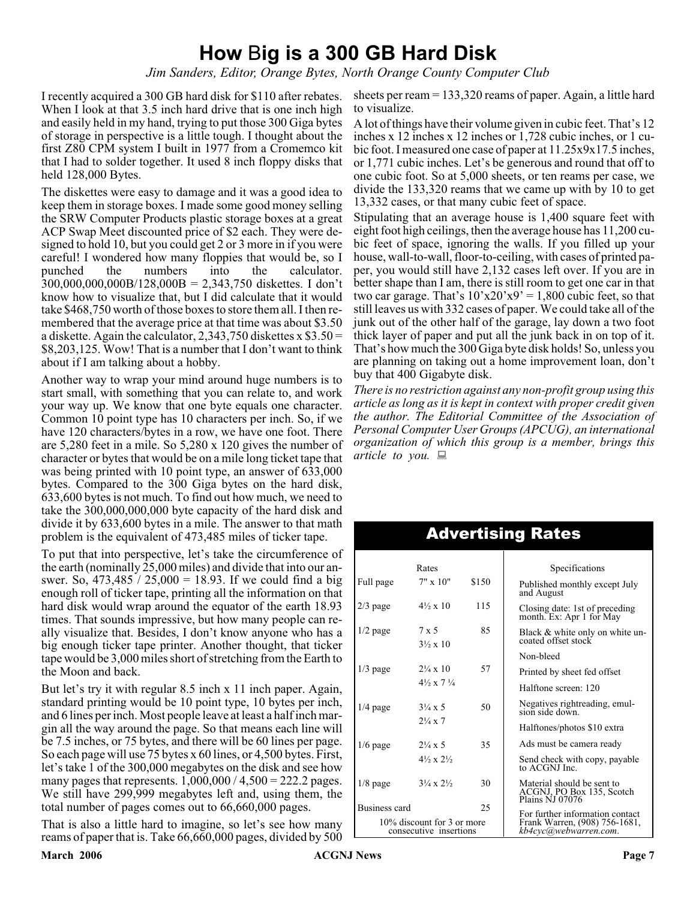# **How** B**ig is a 300 GB Hard Disk**

*Jim Sanders, Editor, Orange Bytes, North Orange County Computer Club*

I recently acquired a 300 GB hard disk for \$110 after rebates. When I look at that 3.5 inch hard drive that is one inch high and easily held in my hand, trying to put those 300 Giga bytes of storage in perspective is a little tough. I thought about the first Z80 CPM system I built in 1977 from a Cromemco kit that I had to solder together. It used 8 inch floppy disks that held 128,000 Bytes.

The diskettes were easy to damage and it was a good idea to keep them in storage boxes. I made some good money selling the SRW Computer Products plastic storage boxes at a great ACP Swap Meet discounted price of \$2 each. They were designed to hold 10, but you could get 2 or 3 more in if you were careful! I wondered how many floppies that would be, so I punched the numbers into the calculator. 300,000,000,000B/128,000B = 2,343,750 diskettes. I don't know how to visualize that, but I did calculate that it would take \$468,750 worth of those boxes to store them all. I then remembered that the average price at that time was about \$3.50 a diskette. Again the calculator, 2,343,750 diskettes x  $$3.50 =$ \$8,203,125. Wow! That is a number that I don't want to think about if I am talking about a hobby.

Another way to wrap your mind around huge numbers is to start small, with something that you can relate to, and work your way up. We know that one byte equals one character. Common 10 point type has 10 characters per inch. So, if we have 120 characters/bytes in a row, we have one foot. There are 5,280 feet in a mile. So 5,280 x 120 gives the number of character or bytes that would be on a mile long ticket tape that was being printed with 10 point type, an answer of 633,000 bytes. Compared to the 300 Giga bytes on the hard disk, 633,600 bytes is not much. To find out how much, we need to take the 300,000,000,000 byte capacity of the hard disk and divide it by 633,600 bytes in a mile. The answer to that math problem is the equivalent of 473,485 miles of ticker tape.

To put that into perspective, let's take the circumference of the earth (nominally 25,000 miles) and divide that into our answer. So, 473,485 / 25,000 = 18.93. If we could find a big enough roll of ticker tape, printing all the information on that hard disk would wrap around the equator of the earth 18.93 times. That sounds impressive, but how many people can really visualize that. Besides, I don't know anyone who has a big enough ticker tape printer. Another thought, that ticker tape would be 3,000 miles short of stretching from the Earth to the Moon and back.

But let's try it with regular 8.5 inch x 11 inch paper. Again, standard printing would be 10 point type, 10 bytes per inch, and 6 lines per inch. Most people leave at least a half inch margin all the way around the page. So that means each line will be 7.5 inches, or 75 bytes, and there will be 60 lines per page. So each page will use 75 bytes x 60 lines, or 4,500 bytes. First, let's take 1 of the 300,000 megabytes on the disk and see how many pages that represents.  $1,000,000 / 4,500 = 222.2$  pages. We still have 299,999 megabytes left and, using them, the total number of pages comes out to 66,660,000 pages.

That is also a little hard to imagine, so let's see how many reams of paper that is. Take 66,660,000 pages, divided by 500

sheets per ream = 133,320 reams of paper. Again, a little hard to visualize.

A lot of things have their volume given in cubic feet. That's 12 inches x 12 inches x 12 inches or 1,728 cubic inches, or 1 cubic foot. I measured one case of paper at 11.25x9x17.5 inches, or 1,771 cubic inches. Let's be generous and round that off to one cubic foot. So at 5,000 sheets, or ten reams per case, we divide the 133,320 reams that we came up with by 10 to get 13,332 cases, or that many cubic feet of space.

Stipulating that an average house is 1,400 square feet with eight foot high ceilings, then the average house has 11,200 cubic feet of space, ignoring the walls. If you filled up your house, wall-to-wall, floor-to-ceiling, with cases of printed paper, you would still have 2,132 cases left over. If you are in better shape than I am, there is still room to get one car in that two car garage. That's  $10'x20'x9' = 1,800$  cubic feet, so that still leaves us with 332 cases of paper. We could take all of the junk out of the other half of the garage, lay down a two foot thick layer of paper and put all the junk back in on top of it. That's how much the 300 Giga byte disk holds! So, unless you are planning on taking out a home improvement loan, don't buy that 400 Gigabyte disk.

*There is no restriction against any non-profit group using this article as long as it is kept in context with proper credit given the author. The Editorial Committee of the Association of Personal Computer User Groups (APCUG), an international organization of which this group is a member, brings this article to you.*

| Rates                                                |                                          |       | Specifications                                                                            |  |
|------------------------------------------------------|------------------------------------------|-------|-------------------------------------------------------------------------------------------|--|
| Full page                                            | $7" \times 10"$                          | \$150 | Published monthly except July<br>and August                                               |  |
| $2/3$ page                                           | $4\frac{1}{2} \times 10$                 | 115   | Closing date: 1st of preceding<br>month. Ex: Apr 1 for May                                |  |
| $1/2$ page                                           | $7 \times 5$<br>$3\frac{1}{2} \times 10$ | 85    | Black & white only on white un-<br>coated offset stock                                    |  |
|                                                      |                                          |       | Non-bleed                                                                                 |  |
| $1/3$ page                                           | $2\frac{1}{4} \times 10$                 | 57    | Printed by sheet fed offset                                                               |  |
|                                                      | $4\frac{1}{2} \times 7\frac{1}{4}$       |       | Halftone screen: 120                                                                      |  |
| $1/4$ page                                           | $3\frac{1}{4} \times 5$                  | 50    | Negatives rightreading, emul-<br>sion side down.                                          |  |
|                                                      | $2\frac{1}{4} \times 7$                  |       | Halftones/photos \$10 extra                                                               |  |
| $1/6$ page                                           | $2\frac{1}{4} \times 5$                  | 35    | Ads must be camera ready                                                                  |  |
|                                                      | $4\frac{1}{2} \times 2\frac{1}{2}$       |       | Send check with copy, payable<br>to ACGNJ Inc.                                            |  |
| $1/8$ page                                           | $3\frac{1}{4} \times 2\frac{1}{2}$       | 30    | Material should be sent to<br>ACGNJ, PO Box 135, Scotch<br>Plains NJ 07076                |  |
| Business card                                        |                                          | 25    |                                                                                           |  |
| 10% discount for 3 or more<br>consecutive insertions |                                          |       | For further information contact<br>Frank Warren, (908) 756-1681,<br>kb4cyc@webwarren.com. |  |

## Advertising Rates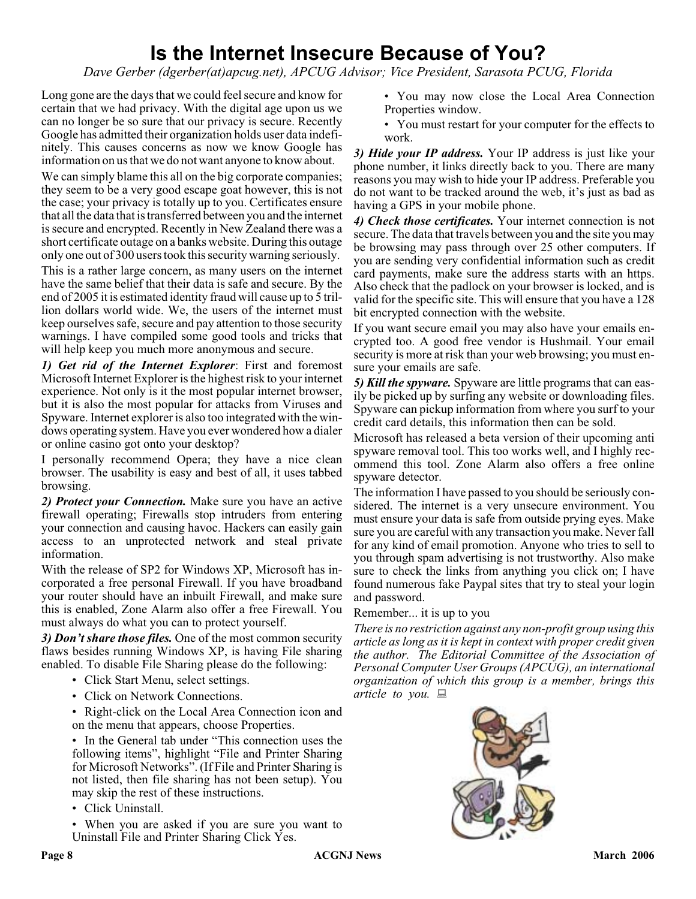# **Is the Internet Insecure Because of You?**

*Dave Gerber (dgerber(at)apcug.net), APCUG Advisor; Vice President, Sarasota PCUG, Florida*

Long gone are the days that we could feel secure and know for certain that we had privacy. With the digital age upon us we can no longer be so sure that our privacy is secure. Recently Google has admitted their organization holds user data indefinitely. This causes concerns as now we know Google has information on us that we do not want anyone to know about.

We can simply blame this all on the big corporate companies; they seem to be a very good escape goat however, this is not the case; your privacy is totally up to you. Certificates ensure that all the data that is transferred between you and the internet is secure and encrypted. Recently in New Zealand there was a short certificate outage on a banks website. During this outage only one out of 300 users took this security warning seriously.

This is a rather large concern, as many users on the internet have the same belief that their data is safe and secure. By the end of 2005 it is estimated identity fraud will cause up to 5 trillion dollars world wide. We, the users of the internet must keep ourselves safe, secure and pay attention to those security warnings. I have compiled some good tools and tricks that will help keep you much more anonymous and secure.

*1) Get rid of the Internet Explorer*: First and foremost Microsoft Internet Explorer is the highest risk to your internet experience. Not only is it the most popular internet browser, but it is also the most popular for attacks from Viruses and Spyware. Internet explorer is also too integrated with the windows operating system. Have you ever wondered how a dialer or online casino got onto your desktop?

I personally recommend Opera; they have a nice clean browser. The usability is easy and best of all, it uses tabbed browsing.

*2) Protect your Connection.* Make sure you have an active firewall operating; Firewalls stop intruders from entering your connection and causing havoc. Hackers can easily gain access to an unprotected network and steal private information.

With the release of SP2 for Windows XP, Microsoft has incorporated a free personal Firewall. If you have broadband your router should have an inbuilt Firewall, and make sure this is enabled, Zone Alarm also offer a free Firewall. You must always do what you can to protect yourself.

*3) Don't share those files.* One of the most common security flaws besides running Windows XP, is having File sharing enabled. To disable File Sharing please do the following:

- Click Start Menu, select settings.
- Click on Network Connections.
- Right-click on the Local Area Connection icon and on the menu that appears, choose Properties.

• In the General tab under "This connection uses the following items", highlight "File and Printer Sharing for Microsoft Networks". (If File and Printer Sharing is not listed, then file sharing has not been setup). You may skip the rest of these instructions.

• Click Uninstall.

• When you are asked if you are sure you want to Uninstall File and Printer Sharing Click Yes.

- You may now close the Local Area Connection Properties window.
- You must restart for your computer for the effects to work.

*3) Hide your IP address.* Your IP address is just like your phone number, it links directly back to you. There are many reasons you may wish to hide your IP address. Preferable you do not want to be tracked around the web, it's just as bad as having a GPS in your mobile phone.

*4) Check those certificates.* Your internet connection is not secure. The data that travels between you and the site you may be browsing may pass through over 25 other computers. If you are sending very confidential information such as credit card payments, make sure the address starts with an https. Also check that the padlock on your browser is locked, and is valid for the specific site. This will ensure that you have a 128 bit encrypted connection with the website.

If you want secure email you may also have your emails encrypted too. A good free vendor is Hushmail. Your email security is more at risk than your web browsing; you must ensure your emails are safe.

*5) Kill the spyware.* Spyware are little programs that can easily be picked up by surfing any website or downloading files. Spyware can pickup information from where you surf to your credit card details, this information then can be sold.

Microsoft has released a beta version of their upcoming anti spyware removal tool. This too works well, and I highly recommend this tool. Zone Alarm also offers a free online spyware detector.

The information I have passed to you should be seriously considered. The internet is a very unsecure environment. You must ensure your data is safe from outside prying eyes. Make sure you are careful with any transaction you make. Never fall for any kind of email promotion. Anyone who tries to sell to you through spam advertising is not trustworthy. Also make sure to check the links from anything you click on; I have found numerous fake Paypal sites that try to steal your login and password.

#### Remember... it is up to you

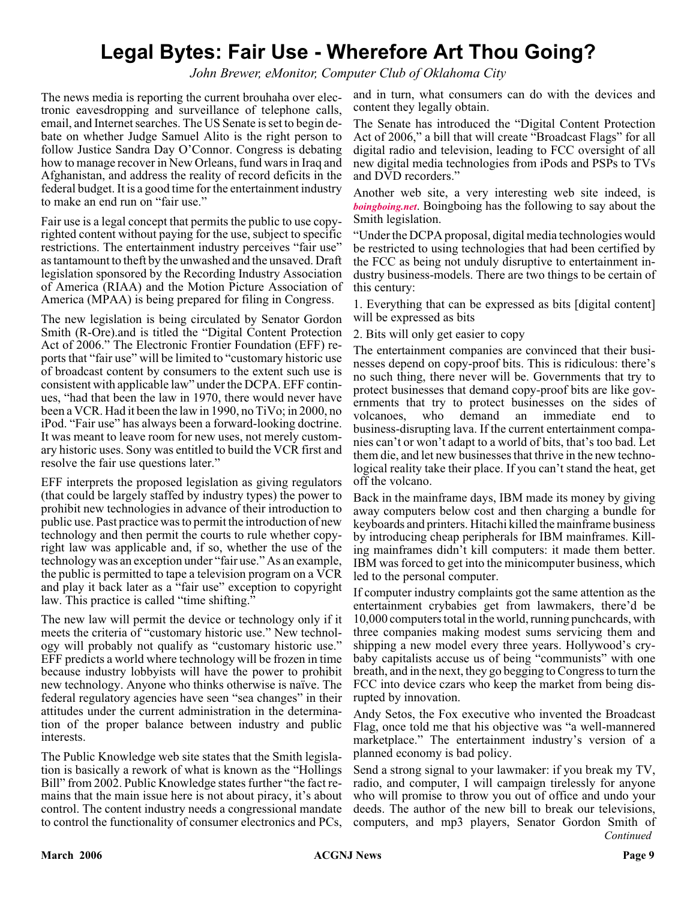# **Legal Bytes: Fair Use - Wherefore Art Thou Going?**

*John Brewer, eMonitor, Computer Club of Oklahoma City*

The news media is reporting the current brouhaha over electronic eavesdropping and surveillance of telephone calls, email, and Internet searches. The US Senate is set to begin debate on whether Judge Samuel Alito is the right person to follow Justice Sandra Day O'Connor. Congress is debating how to manage recover in New Orleans, fund wars in Iraq and Afghanistan, and address the reality of record deficits in the federal budget. It is a good time for the entertainment industry to make an end run on "fair use."

Fair use is a legal concept that permits the public to use copyrighted content without paying for the use, subject to specific restrictions. The entertainment industry perceives "fair use" as tantamount to theft by the unwashed and the unsaved. Draft legislation sponsored by the Recording Industry Association of America (RIAA) and the Motion Picture Association of America (MPAA) is being prepared for filing in Congress.

The new legislation is being circulated by Senator Gordon Smith (R-Ore).and is titled the "Digital Content Protection Act of 2006." The Electronic Frontier Foundation (EFF) reports that "fair use" will be limited to "customary historic use of broadcast content by consumers to the extent such use is consistent with applicable law" under the DCPA. EFF continues, "had that been the law in 1970, there would never have been a VCR. Had it been the law in 1990, no TiVo; in 2000, no iPod. "Fair use" has always been a forward-looking doctrine. It was meant to leave room for new uses, not merely customary historic uses. Sony was entitled to build the VCR first and resolve the fair use questions later."

EFF interprets the proposed legislation as giving regulators (that could be largely staffed by industry types) the power to prohibit new technologies in advance of their introduction to public use. Past practice was to permit the introduction of new technology and then permit the courts to rule whether copyright law was applicable and, if so, whether the use of the technology was an exception under "fair use." As an example, the public is permitted to tape a television program on a VCR and play it back later as a "fair use" exception to copyright law. This practice is called "time shifting."

The new law will permit the device or technology only if it meets the criteria of "customary historic use." New technology will probably not qualify as "customary historic use." EFF predicts a world where technology will be frozen in time because industry lobbyists will have the power to prohibit new technology. Anyone who thinks otherwise is naïve. The federal regulatory agencies have seen "sea changes" in their attitudes under the current administration in the determination of the proper balance between industry and public interests.

The Public Knowledge web site states that the Smith legislation is basically a rework of what is known as the "Hollings Bill" from 2002. Public Knowledge states further "the fact remains that the main issue here is not about piracy, it's about control. The content industry needs a congressional mandate to control the functionality of consumer electronics and PCs,

and in turn, what consumers can do with the devices and content they legally obtain.

The Senate has introduced the "Digital Content Protection Act of 2006," a bill that will create "Broadcast Flags" for all digital radio and television, leading to FCC oversight of all new digital media technologies from iPods and PSPs to TVs and DVD recorders."

Another web site, a very interesting web site indeed, is *[boingboing.net](http://www.boingboing.net)*. Boingboing has the following to say about the Smith legislation.

"Under the DCPA proposal, digital media technologies would be restricted to using technologies that had been certified by the FCC as being not unduly disruptive to entertainment industry business-models. There are two things to be certain of this century:

1. Everything that can be expressed as bits [digital content] will be expressed as bits

2. Bits will only get easier to copy

The entertainment companies are convinced that their businesses depend on copy-proof bits. This is ridiculous: there's no such thing, there never will be. Governments that try to protect businesses that demand copy-proof bits are like governments that try to protect businesses on the sides of volcanoes, who demand an immediate end to business-disrupting lava. If the current entertainment companies can't or won't adapt to a world of bits, that's too bad. Let them die, and let new businesses that thrive in the new technological reality take their place. If you can't stand the heat, get off the volcano.

Back in the mainframe days, IBM made its money by giving away computers below cost and then charging a bundle for keyboards and printers. Hitachi killed the mainframe business by introducing cheap peripherals for IBM mainframes. Killing mainframes didn't kill computers: it made them better. IBM was forced to get into the minicomputer business, which led to the personal computer.

If computer industry complaints got the same attention as the entertainment crybabies get from lawmakers, there'd be 10,000 computers total in the world, running punchcards, with three companies making modest sums servicing them and shipping a new model every three years. Hollywood's crybaby capitalists accuse us of being "communists" with one breath, and in the next, they go begging to Congress to turn the FCC into device czars who keep the market from being disrupted by innovation.

Andy Setos, the Fox executive who invented the Broadcast Flag, once told me that his objective was "a well-mannered marketplace." The entertainment industry's version of a planned economy is bad policy.

*Continued* Send a strong signal to your lawmaker: if you break my TV, radio, and computer, I will campaign tirelessly for anyone who will promise to throw you out of office and undo your deeds. The author of the new bill to break our televisions, computers, and mp3 players, Senator Gordon Smith of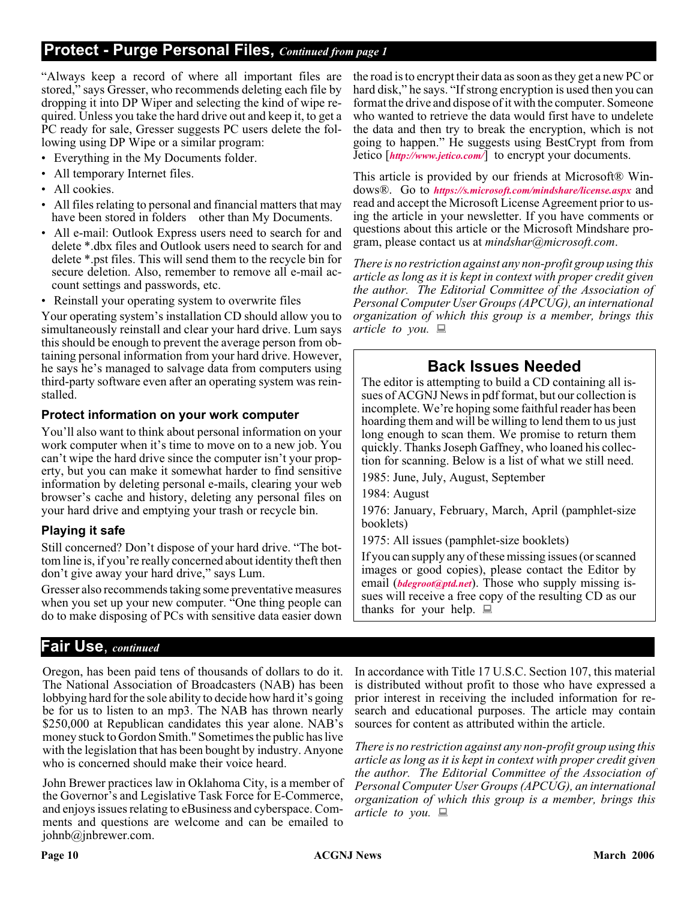# **Protect - Purge Personal Files,** *Continued from page 1*

"Always keep a record of where all important files are stored," says Gresser, who recommends deleting each file by dropping it into DP Wiper and selecting the kind of wipe required. Unless you take the hard drive out and keep it, to get a PC ready for sale, Gresser suggests PC users delete the following using DP Wipe or a similar program:

- Everything in the My Documents folder.
- All temporary Internet files.
- All cookies.
- All files relating to personal and financial matters that may have been stored in folders other than My Documents.
- All e-mail: Outlook Express users need to search for and delete \*.dbx files and Outlook users need to search for and delete \*.pst files. This will send them to the recycle bin for secure deletion. Also, remember to remove all e-mail account settings and passwords, etc.
- Reinstall your operating system to overwrite files

Your operating system's installation CD should allow you to simultaneously reinstall and clear your hard drive. Lum says this should be enough to prevent the average person from obtaining personal information from your hard drive. However, he says he's managed to salvage data from computers using third-party software even after an operating system was reinstalled.

#### **Protect information on your work computer**

You'll also want to think about personal information on your work computer when it's time to move on to a new job. You can't wipe the hard drive since the computer isn't your property, but you can make it somewhat harder to find sensitive information by deleting personal e-mails, clearing your web browser's cache and history, deleting any personal files on your hard drive and emptying your trash or recycle bin.

#### **Playing it safe**

Still concerned? Don't dispose of your hard drive. "The bottom line is, if you're really concerned about identity theft then don't give away your hard drive," says Lum.

Gresser also recommends taking some preventative measures when you set up your new computer. "One thing people can do to make disposing of PCs with sensitive data easier down

## **Fair Use**, *continued*

Oregon, has been paid tens of thousands of dollars to do it. The National Association of Broadcasters (NAB) has been lobbying hard for the sole ability to decide how hard it's going be for us to listen to an mp3. The NAB has thrown nearly \$250,000 at Republican candidates this year alone. NAB's money stuck to Gordon Smith." Sometimes the public has live with the legislation that has been bought by industry. Anyone who is concerned should make their voice heard.

John Brewer practices law in Oklahoma City, is a member of the Governor's and Legislative Task Force for E-Commerce, and enjoys issues relating to eBusiness and cyberspace. Comments and questions are welcome and can be emailed to johnb@jnbrewer.com.

the road is to encrypt their data as soon as they get a new PC or hard disk," he says. "If strong encryption is used then you can format the drive and dispose of it with the computer. Someone who wanted to retrieve the data would first have to undelete the data and then try to break the encryption, which is not going to happen." He suggests using BestCrypt from from Jetico [*<http://www.jetico.com/>*] to encrypt your documents.

This article is provided by our friends at Microsoft® Windows®. Go to *[https://s.microsoft.com/mindshare/license.aspx](http://)* and read and accept the Microsoft License Agreement prior to using the article in your newsletter. If you have comments or questions about this article or the Microsoft Mindshare program, please contact us at *mindshar@microsoft.com*.

*There is no restriction against any non-profit group using this article as long as it is kept in context with proper credit given the author. The Editorial Committee of the Association of Personal Computer User Groups (APCUG), an international organization of which this group is a member, brings this article to you.*

# **Back Issues Needed**

The editor is attempting to build a CD containing all issues of ACGNJ News in pdf format, but our collection is incomplete. We're hoping some faithful reader has been hoarding them and will be willing to lend them to us just long enough to scan them. We promise to return them quickly. Thanks Joseph Gaffney, who loaned his collection for scanning. Below is a list of what we still need.

1985: June, July, August, September

1984: August

1976: January, February, March, April (pamphlet-size booklets)

1975: All issues (pamphlet-size booklets)

If you can supply any of these missing issues (or scanned images or good copies), please contact the Editor by email (*[bdegroot@ptd.net](mailto:bdegroot@ptd.net)*). Those who supply missing issues will receive a free copy of the resulting CD as our thanks for your help.  $\Box$ 

In accordance with Title 17 U.S.C. Section 107, this material is distributed without profit to those who have expressed a prior interest in receiving the included information for research and educational purposes. The article may contain sources for content as attributed within the article.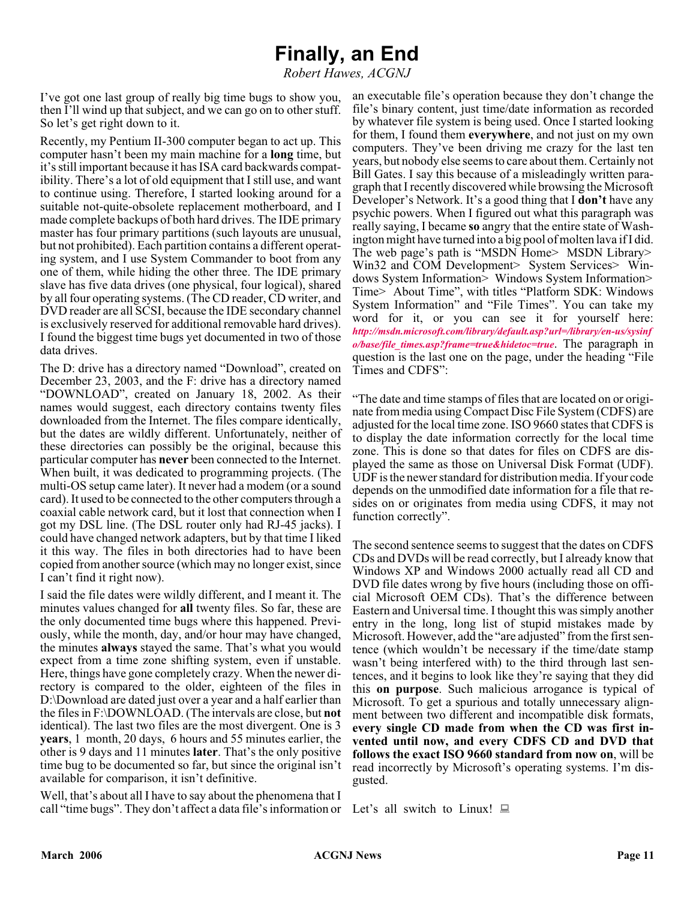# **Finally, an End**

*Robert Hawes, ACGNJ*

I've got one last group of really big time bugs to show you, then I'll wind up that subject, and we can go on to other stuff. So let's get right down to it.

Recently, my Pentium II-300 computer began to act up. This computer hasn't been my main machine for a **long** time, but it's still important because it has ISA card backwards compatibility. There's a lot of old equipment that I still use, and want to continue using. Therefore, I started looking around for a suitable not-quite-obsolete replacement motherboard, and I made complete backups of both hard drives. The IDE primary master has four primary partitions (such layouts are unusual, but not prohibited). Each partition contains a different operating system, and I use System Commander to boot from any one of them, while hiding the other three. The IDE primary slave has five data drives (one physical, four logical), shared by all four operating systems. (The CD reader, CD writer, and DVD reader are all SCSI, because the IDE secondary channel is exclusively reserved for additional removable hard drives). I found the biggest time bugs yet documented in two of those data drives.

The D: drive has a directory named "Download", created on December 23, 2003, and the F: drive has a directory named "DOWNLOAD", created on January 18, 2002. As their names would suggest, each directory contains twenty files downloaded from the Internet. The files compare identically, but the dates are wildly different. Unfortunately, neither of these directories can possibly be the original, because this particular computer has **never** been connected to the Internet. When built, it was dedicated to programming projects. (The multi-OS setup came later). It never had a modem (or a sound card). It used to be connected to the other computers through a coaxial cable network card, but it lost that connection when I got my DSL line. (The DSL router only had RJ-45 jacks). I could have changed network adapters, but by that time I liked it this way. The files in both directories had to have been copied from another source (which may no longer exist, since I can't find it right now).

I said the file dates were wildly different, and I meant it. The minutes values changed for **all** twenty files. So far, these are the only documented time bugs where this happened. Previously, while the month, day, and/or hour may have changed, the minutes **always** stayed the same. That's what you would expect from a time zone shifting system, even if unstable. Here, things have gone completely crazy. When the newer directory is compared to the older, eighteen of the files in D:\Download are dated just over a year and a half earlier than the files in F:\DOWNLOAD. (The intervals are close, but **not** identical). The last two files are the most divergent. One is 3 **years**, 1 month, 20 days, 6 hours and 55 minutes earlier, the other is 9 days and 11 minutes **later**. That's the only positive time bug to be documented so far, but since the original isn't available for comparison, it isn't definitive.

Well, that's about all I have to say about the phenomena that I call "time bugs". They don't affect a data file's information or Let's all switch to Linux!  $\Box$ 

an executable file's operation because they don't change the file's binary content, just time/date information as recorded by whatever file system is being used. Once I started looking for them, I found them **everywhere**, and not just on my own computers. They've been driving me crazy for the last ten years, but nobody else seems to care about them. Certainly not Bill Gates. I say this because of a misleadingly written paragraph that I recently discovered while browsing the Microsoft Developer's Network. It's a good thing that I **don't** have any psychic powers. When I figured out what this paragraph was really saying, I became **so** angry that the entire state of Washington might have turned into a big pool of molten lava if I did. The web page's path is "MSDN Home> MSDN Library> Win32 and COM Development> System Services> Windows System Information> Windows System Information> Time> About Time", with titles "Platform SDK: Windows System Information" and "File Times". You can take my word for it, or you can see it for yourself here: *[http://msdn.microsoft.com/library/default.asp?url=/library/en-us/sysinf](http://msdn.microsoft.com/library/default.asp?url=/library/en-us/sysinfo/base/file_times.asp?frame=true&hidetoc=true) o/base/file\_times.asp?frame=true&hidetoc=true*. The paragraph in question is the last one on the page, under the heading "File Times and CDFS":

"The date and time stamps of files that are located on or originate from media using Compact Disc File System (CDFS) are adjusted for the local time zone. ISO 9660 states that CDFS is to display the date information correctly for the local time zone. This is done so that dates for files on CDFS are displayed the same as those on Universal Disk Format (UDF). UDF is the newer standard for distribution media. If your code depends on the unmodified date information for a file that resides on or originates from media using CDFS, it may not function correctly".

The second sentence seems to suggest that the dates on CDFS CDs and DVDs will be read correctly, but I already know that Windows XP and Windows 2000 actually read all CD and DVD file dates wrong by five hours (including those on official Microsoft OEM CDs). That's the difference between Eastern and Universal time. I thought this was simply another entry in the long, long list of stupid mistakes made by Microsoft. However, add the "are adjusted" from the first sentence (which wouldn't be necessary if the time/date stamp wasn't being interfered with) to the third through last sentences, and it begins to look like they're saying that they did this **on purpose**. Such malicious arrogance is typical of Microsoft. To get a spurious and totally unnecessary alignment between two different and incompatible disk formats, **every single CD made from when the CD was first invented until now, and every CDFS CD and DVD that follows the exact ISO 9660 standard from now on**, will be read incorrectly by Microsoft's operating systems. I'm disgusted.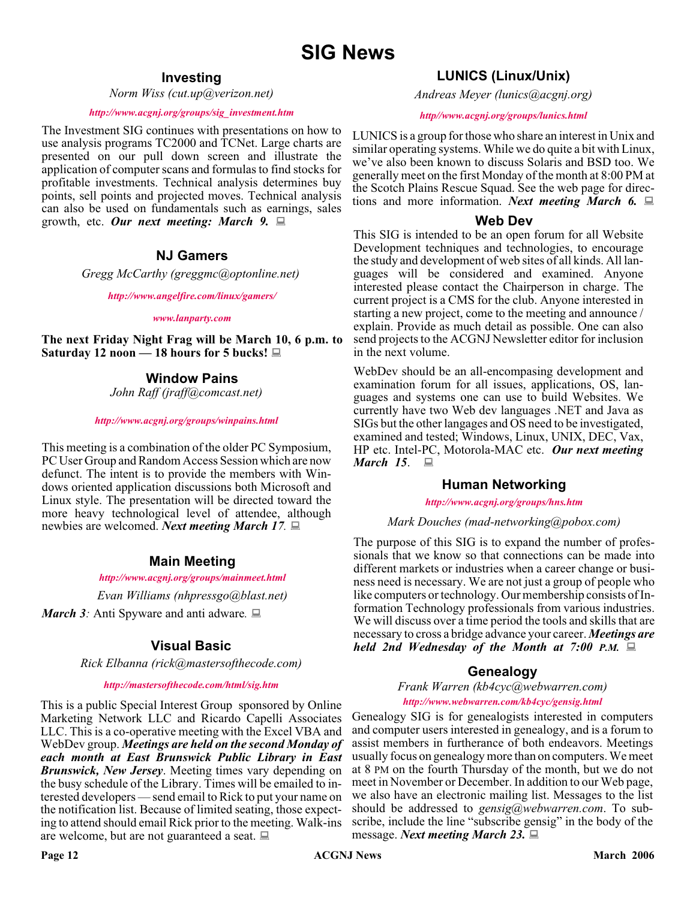#### **Investing**

*Norm Wiss (cut.up@verizon.net)*

#### *[http://www.acgnj.org/groups/sig\\_investment.htm](http://www.acgnj.org/groups/sig_investment.htm)*

The Investment SIG continues with presentations on how to use analysis programs TC2000 and TCNet. Large charts are presented on our pull down screen and illustrate the application of computer scans and formulas to find stocks for profitable investments. Technical analysis determines buy points, sell points and projected moves. Technical analysis can also be used on fundamentals such as earnings, sales growth, etc. *Our next meeting: March 9.*

#### **NJ Gamers**

*Gregg McCarthy (greggmc@optonline.net)*

*<http://www.angelfire.com/linux/gamers/>*

#### *[www.lanparty.com](http://www.lanparty.com)*

**The next Friday Night Frag will be March 10, 6 p.m. to Saturday 12 noon — 18 hours for 5 bucks!**

#### **Window Pains**

*John Raff (jraff@comcast.net)*

#### *<http://www.acgnj.org/groups/winpains.html>*

This meeting is a combination of the older PC Symposium, PC User Group and Random Access Session which are now defunct. The intent is to provide the members with Windows oriented application discussions both Microsoft and Linux style. The presentation will be directed toward the more heavy technological level of attendee, although newbies are welcomed. *Next meeting March 17.*

#### **Main Meeting**

#### *<http://www.acgnj.org/groups/mainmeet.html>*

*Evan Williams (nhpressgo@blast.net)*

*March 3:* Anti Spyware and anti adware*.*

#### **Visual Basic**

*Rick Elbanna (rick@mastersofthecode.com)*

#### *<http://mastersofthecode.com/html/sig.htm>*

This is a public Special Interest Group sponsored by Online Marketing Network LLC and Ricardo Capelli Associates LLC. This is a co-operative meeting with the Excel VBA and WebDev group. *Meetings are held on the second Monday of each month at East Brunswick Public Library in East Brunswick, New Jersey*. Meeting times vary depending on the busy schedule of the Library. Times will be emailed to interested developers — send email to Rick to put your name on the notification list. Because of limited seating, those expecting to attend should email Rick prior to the meeting. Walk-ins are welcome, but are not guaranteed a seat.

*Andreas Meyer (lunics@acgnj.org)*

#### *<http//www.acgnj.org/groups/lunics.html>*

LUNICS is a group for those who share an interest in Unix and similar operating systems. While we do quite a bit with Linux, we've also been known to discuss Solaris and BSD too. We generally meet on the first Monday of the month at 8:00 PM at the Scotch Plains Rescue Squad. See the web page for directions and more information. *Next meeting March 6.*

#### **Web Dev**

This SIG is intended to be an open forum for all Website Development techniques and technologies, to encourage the study and development of web sites of all kinds. All languages will be considered and examined. Anyone interested please contact the Chairperson in charge. The current project is a CMS for the club. Anyone interested in starting a new project, come to the meeting and announce / explain. Provide as much detail as possible. One can also send projects to the ACGNJ Newsletter editor for inclusion in the next volume.

WebDev should be an all-encompasing development and examination forum for all issues, applications, OS, languages and systems one can use to build Websites. We currently have two Web dev languages .NET and Java as SIGs but the other langages and OS need to be investigated, examined and tested; Windows, Linux, UNIX, DEC, Vax, HP etc. Intel-PC, Motorola-MAC etc. *Our next meeting March* 15. ■

#### **Human Networking**

*<http://www.acgnj.org/groups/hns.htm>*

#### *Mark Douches (mad-networking@pobox.com)*

The purpose of this SIG is to expand the number of professionals that we know so that connections can be made into different markets or industries when a career change or business need is necessary. We are not just a group of people who like computers or technology. Our membership consists of Information Technology professionals from various industries. We will discuss over a time period the tools and skills that are necessary to cross a bridge advance your career. *Meetings are held 2nd Wednesday of the Month at 7:00 P.M.*

#### **Genealogy**

*Frank Warren (kb4cyc@webwarren.com) <http://www.webwarren.com/kb4cyc/gensig.html>*

Genealogy SIG is for genealogists interested in computers and computer users interested in genealogy, and is a forum to assist members in furtherance of both endeavors. Meetings usually focus on genealogy more than on computers. We meet at 8 PM on the fourth Thursday of the month, but we do not meet in November or December. In addition to our Web page, we also have an electronic mailing list. Messages to the list should be addressed to *gensig@webwarren.com*. To subscribe, include the line "subscribe gensig" in the body of the message. *Next meeting March 23.*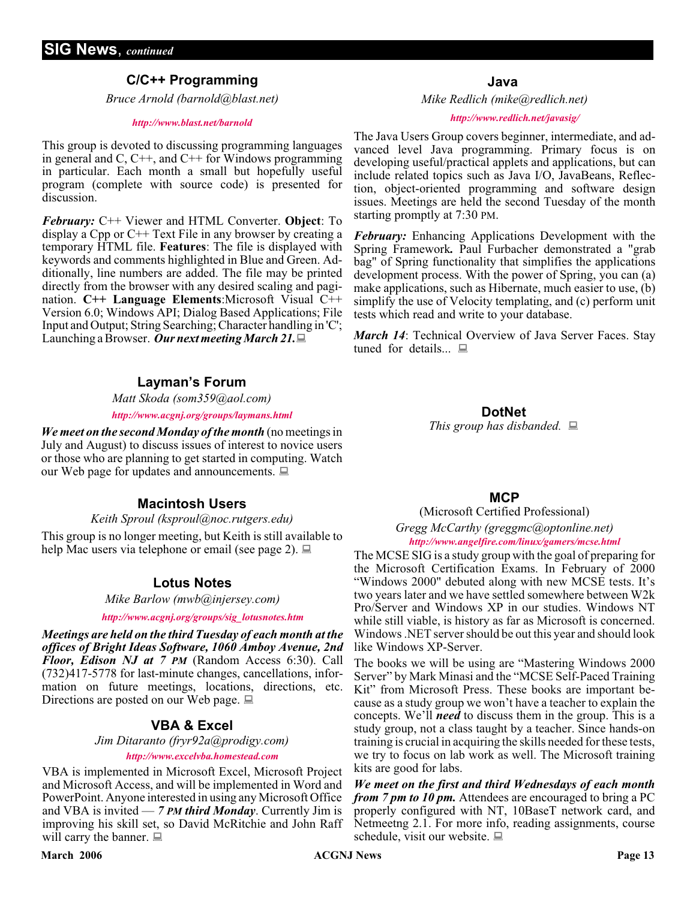#### **C/C++ Programming**

*Bruce Arnold (barnold@blast.net)*

#### *<http://www.blast.net/barnold>*

This group is devoted to discussing programming languages in general and  $C$ ,  $C++$ , and  $C++$  for Windows programming in particular. Each month a small but hopefully useful program (complete with source code) is presented for discussion.

*February:* C++ Viewer and HTML Converter. **Object**: To display a Cpp or C++ Text File in any browser by creating a temporary HTML file. **Features**: The file is displayed with keywords and comments highlighted in Blue and Green. Additionally, line numbers are added. The file may be printed directly from the browser with any desired scaling and pagination. **C++ Language Elements**:Microsoft Visual C++ Version 6.0; Windows API; Dialog Based Applications; File Input and Output; String Searching; Character handling in 'C'; Launching a Browser. *Our next meeting March 21.*

#### **Layman's Forum**

*Matt Skoda (som359@aol.com)*

#### *<http://www.acgnj.org/groups/laymans.html>*

*We meet on the second Monday of the month* (no meetings in July and August) to discuss issues of interest to novice users or those who are planning to get started in computing. Watch our Web page for updates and announcements.  $\Box$ 

#### **Macintosh Users**

#### *Keith Sproul (ksproul@noc.rutgers.edu)*

This group is no longer meeting, but Keith is still available to help Mac users via telephone or email (see page 2).  $\Box$ 

#### **Lotus Notes**

*Mike Barlow (mwb@injersey.com)*

*[http://www.acgnj.org/groups/sig\\_lotusnotes.htm](http://www.acgnj.org/groups/sig_lotusnotes.htm)*

*Meetings are held on the third Tuesday of each month at the offices of Bright Ideas Software, 1060 Amboy Avenue, 2nd Floor, Edison NJ at 7 PM* (Random Access 6:30). Call (732)417-5778 for last-minute changes, cancellations, information on future meetings, locations, directions, etc. Directions are posted on our Web page.  $\Box$ 

#### **VBA & Excel**

*Jim Ditaranto (fryr92a@prodigy.com) <http://www.excelvba.homestead.com>*

VBA is implemented in Microsoft Excel, Microsoft Project and Microsoft Access, and will be implemented in Word and PowerPoint. Anyone interested in using any Microsoft Office and VBA is invited — *7 PM third Monday*. Currently Jim is improving his skill set, so David McRitchie and John Raff will carry the banner.  $\Box$ 

#### **March 2006 Page 13 Page 13**

**Java**

*Mike Redlich (mike@redlich.net)*

#### *<http://www.redlich.net/javasig/>*

The Java Users Group covers beginner, intermediate, and advanced level Java programming. Primary focus is on developing useful/practical applets and applications, but can include related topics such as Java I/O, JavaBeans, Reflection, object-oriented programming and software design issues. Meetings are held the second Tuesday of the month starting promptly at 7:30 PM.

*February:* Enhancing Applications Development with the Spring Framework*.* Paul Furbacher demonstrated a "grab bag" of Spring functionality that simplifies the applications development process. With the power of Spring, you can (a) make applications, such as Hibernate, much easier to use, (b) simplify the use of Velocity templating, and (c) perform unit tests which read and write to your database.

*March 14*: Technical Overview of Java Server Faces. Stay tuned for details...  $\Box$ 

#### **DotNet**

*This group has disbanded.*

#### **MCP**

#### (Microsoft Certified Professional) *Gregg McCarthy (greggmc@optonline.net) <http://www.angelfire.com/linux/gamers/mcse.html>*

The MCSE SIG is a study group with the goal of preparing for the Microsoft Certification Exams. In February of 2000 "Windows 2000" debuted along with new MCSE tests. It's two years later and we have settled somewhere between W2k Pro/Server and Windows XP in our studies. Windows NT while still viable, is history as far as Microsoft is concerned. Windows .NET server should be out this year and should look like Windows XP-Server.

The books we will be using are "Mastering Windows 2000 Server" by Mark Minasi and the "MCSE Self-Paced Training Kit" from Microsoft Press. These books are important because as a study group we won't have a teacher to explain the concepts. We'll *need* to discuss them in the group. This is a study group, not a class taught by a teacher. Since hands-on training is crucial in acquiring the skills needed for these tests, we try to focus on lab work as well. The Microsoft training kits are good for labs.

*We meet on the first and third Wednesdays of each month from 7 pm to 10 pm.* Attendees are encouraged to bring a PC properly configured with NT, 10BaseT network card, and Netmeetng 2.1. For more info, reading assignments, course schedule, visit our website.  $\Box$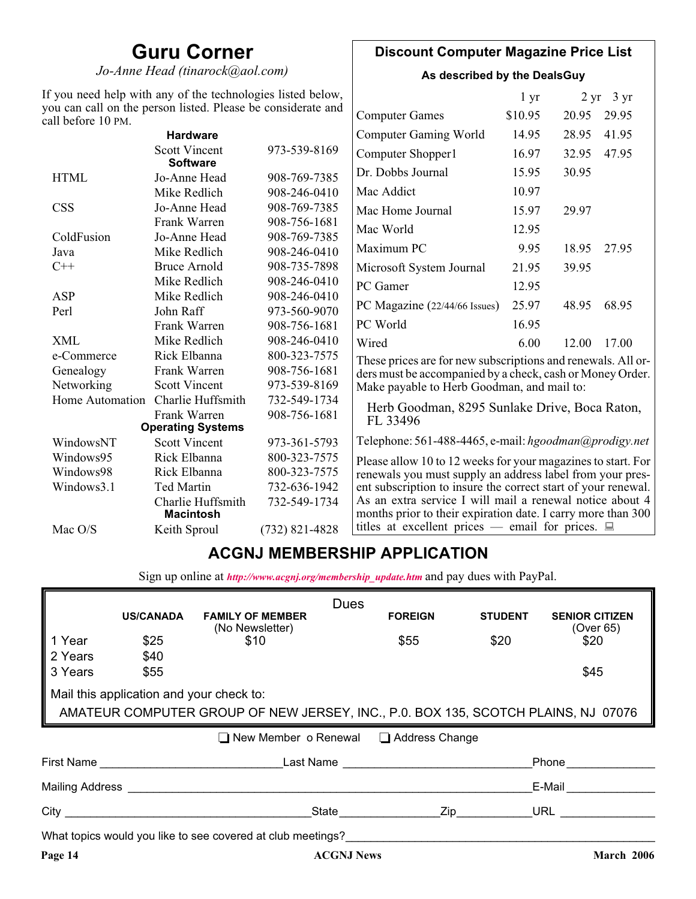# **Guru Corner**

*Jo-Anne Head (tinarock@aol.com)*

#### **Discount Computer Magazine Price List**

**As described by the DealsGuy**

| If you need help with any of the technologies listed below,<br>you can call on the person listed. Please be considerate and |                                         |                                                           |                                                                                                                          | 1 <sub>yr</sub> |       | $2 \text{ yr}$ 3 yr |  |
|-----------------------------------------------------------------------------------------------------------------------------|-----------------------------------------|-----------------------------------------------------------|--------------------------------------------------------------------------------------------------------------------------|-----------------|-------|---------------------|--|
| call before 10 PM.                                                                                                          |                                         |                                                           | <b>Computer Games</b>                                                                                                    | \$10.95         | 20.95 | 29.95               |  |
|                                                                                                                             | <b>Hardware</b>                         |                                                           | <b>Computer Gaming World</b>                                                                                             | 14.95           | 28.95 | 41.95               |  |
|                                                                                                                             | <b>Scott Vincent</b><br><b>Software</b> | 973-539-8169                                              | Computer Shopper1                                                                                                        | 16.97           | 32.95 | 47.95               |  |
| <b>HTML</b>                                                                                                                 | Jo-Anne Head                            | 908-769-7385                                              | Dr. Dobbs Journal                                                                                                        | 15.95           | 30.95 |                     |  |
|                                                                                                                             | Mike Redlich                            | 908-246-0410                                              | Mac Addict                                                                                                               | 10.97           |       |                     |  |
| <b>CSS</b>                                                                                                                  | Jo-Anne Head                            | 908-769-7385                                              | Mac Home Journal                                                                                                         | 15.97           | 29.97 |                     |  |
|                                                                                                                             | Frank Warren                            | 908-756-1681                                              | Mac World                                                                                                                | 12.95           |       |                     |  |
| ColdFusion                                                                                                                  | Jo-Anne Head                            | 908-769-7385                                              |                                                                                                                          |                 |       |                     |  |
| Java                                                                                                                        | Mike Redlich                            | 908-246-0410                                              | Maximum PC                                                                                                               | 9.95            | 18.95 | 27.95               |  |
| $C++$                                                                                                                       | <b>Bruce Arnold</b>                     | 908-735-7898                                              | Microsoft System Journal                                                                                                 | 21.95           | 39.95 |                     |  |
|                                                                                                                             | Mike Redlich                            | 908-246-0410                                              | PC Gamer                                                                                                                 | 12.95           |       |                     |  |
| ASP                                                                                                                         | Mike Redlich                            | 908-246-0410                                              |                                                                                                                          | 25.97           |       | 68.95               |  |
| Perl                                                                                                                        | John Raff                               | 973-560-9070                                              | PC Magazine (22/44/66 Issues)                                                                                            |                 | 48.95 |                     |  |
|                                                                                                                             | Frank Warren                            | 908-756-1681                                              | PC World                                                                                                                 | 16.95           |       |                     |  |
| <b>XML</b>                                                                                                                  | Mike Redlich                            | 908-246-0410                                              | Wired                                                                                                                    | 6.00            | 12.00 | 17.00               |  |
| e-Commerce                                                                                                                  | Rick Elbanna                            | 800-323-7575                                              | These prices are for new subscriptions and renewals. All or-                                                             |                 |       |                     |  |
| Frank Warren<br>908-756-1681<br>Genealogy                                                                                   |                                         | ders must be accompanied by a check, cash or Money Order. |                                                                                                                          |                 |       |                     |  |
| Networking                                                                                                                  | <b>Scott Vincent</b>                    | 973-539-8169                                              | Make payable to Herb Goodman, and mail to:                                                                               |                 |       |                     |  |
| Home Automation                                                                                                             | Charlie Huffsmith                       | 732-549-1734                                              |                                                                                                                          |                 |       |                     |  |
| Frank Warren                                                                                                                |                                         | 908-756-1681                                              | Herb Goodman, 8295 Sunlake Drive, Boca Raton,<br>FL 33496                                                                |                 |       |                     |  |
|                                                                                                                             | <b>Operating Systems</b>                |                                                           |                                                                                                                          |                 |       |                     |  |
| WindowsNT                                                                                                                   | <b>Scott Vincent</b>                    | 973-361-5793                                              | Telephone: 561-488-4465, e-mail: hgoodman@prodigy.net                                                                    |                 |       |                     |  |
| Windows95                                                                                                                   | Rick Elbanna                            | 800-323-7575                                              | Please allow 10 to 12 weeks for your magazines to start. For                                                             |                 |       |                     |  |
| Windows98                                                                                                                   | Rick Elbanna                            | 800-323-7575                                              | renewals you must supply an address label from your pres-                                                                |                 |       |                     |  |
| Windows3.1                                                                                                                  | <b>Ted Martin</b>                       | 732-636-1942                                              | ent subscription to insure the correct start of your renewal.                                                            |                 |       |                     |  |
|                                                                                                                             | Charlie Huffsmith<br><b>Macintosh</b>   | 732-549-1734                                              | As an extra service I will mail a renewal notice about 4<br>months prior to their expiration date. I carry more than 300 |                 |       |                     |  |
| Mac O/S                                                                                                                     | Keith Sproul                            | $(732)$ 821-4828                                          | titles at excellent prices — email for prices. $\Box$                                                                    |                 |       |                     |  |

## **ACGNJ MEMBERSHIP APPLICATION**

Sign up online at *[http://www.acgnj.org/membership\\_update.htm](http://www.acgnj.org/membership_update.htm )* and pay dues with PayPal.

|                                                                                   |                                                      |                                                             | <b>Dues</b>                                            |                |                                    |  |  |
|-----------------------------------------------------------------------------------|------------------------------------------------------|-------------------------------------------------------------|--------------------------------------------------------|----------------|------------------------------------|--|--|
|                                                                                   | <b>US/CANADA</b>                                     | <b>FAMILY OF MEMBER</b><br>(No Newsletter)                  | <b>FOREIGN</b>                                         | <b>STUDENT</b> | <b>SENIOR CITIZEN</b><br>(Over 65) |  |  |
| Year                                                                              | \$25                                                 | \$10                                                        | \$55                                                   | \$20           | \$20                               |  |  |
| 2 Years                                                                           | \$40                                                 |                                                             |                                                        |                |                                    |  |  |
| 3 Years                                                                           | \$55                                                 |                                                             |                                                        |                | \$45                               |  |  |
|                                                                                   | Mail this application and your check to:             |                                                             |                                                        |                |                                    |  |  |
| AMATEUR COMPUTER GROUP OF NEW JERSEY, INC., P.O. BOX 135, SCOTCH PLAINS, NJ 07076 |                                                      |                                                             |                                                        |                |                                    |  |  |
|                                                                                   |                                                      |                                                             |                                                        |                |                                    |  |  |
|                                                                                   |                                                      |                                                             | $\Box$ New Member o Renewal $\Box$ Address Change      |                |                                    |  |  |
|                                                                                   |                                                      |                                                             | First Name <b>Example 2</b> Last Name <b>Last Name</b> |                | <b>Phone</b> Phone                 |  |  |
|                                                                                   |                                                      | Mailing Address <b>Mailing</b> Address <b>Mailing</b>       |                                                        |                | E-Mail                             |  |  |
|                                                                                   | City <b>Called Burns and Called Burns and Called</b> |                                                             | State Zip                                              |                | URL $\qquad \qquad \qquad$         |  |  |
|                                                                                   |                                                      | What topics would you like to see covered at club meetings? |                                                        |                |                                    |  |  |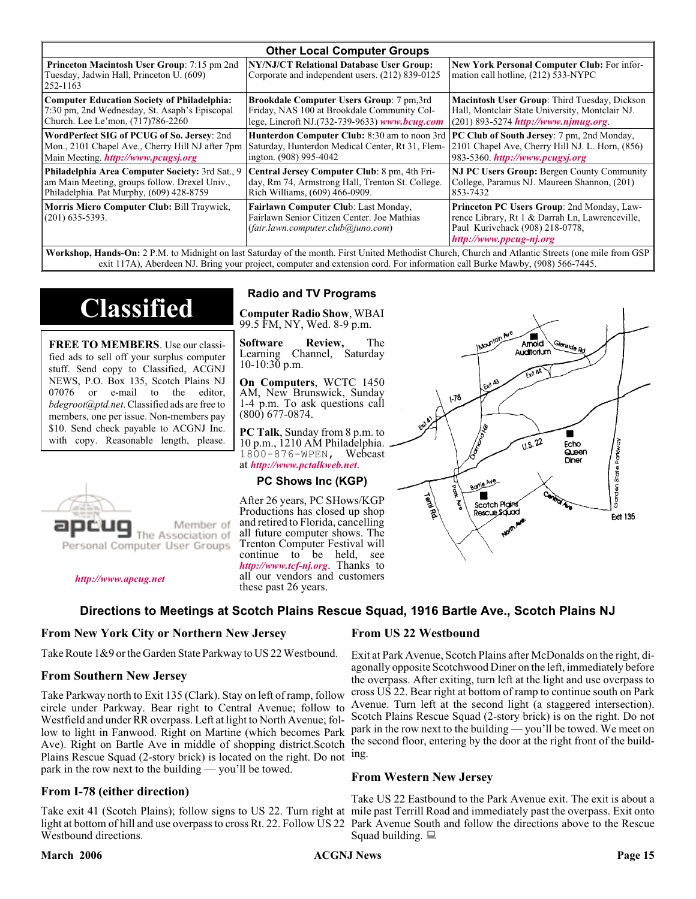| <b>Other Local Computer Groups</b>                                                                         |                                                                                                                           |                                                                                                                                                             |  |  |
|------------------------------------------------------------------------------------------------------------|---------------------------------------------------------------------------------------------------------------------------|-------------------------------------------------------------------------------------------------------------------------------------------------------------|--|--|
| <b>Princeton Macintosh User Group:</b> 7:15 pm 2nd<br>Tuesday, Jadwin Hall, Princeton U. (609)<br>252-1163 | NY/NJ/CT Relational Database User Group:<br>Corporate and independent users. (212) 839-0125                               | New York Personal Computer Club: For infor-<br>mation call hotline, (212) 533-NYPC                                                                          |  |  |
| <b>Computer Education Society of Philadelphia:</b>                                                         | <b>Brookdale Computer Users Group:</b> 7 pm, 3rd                                                                          | Macintosh User Group: Third Tuesday, Dickson                                                                                                                |  |  |
| 7:30 pm, 2nd Wednesday, St. Asaph's Episcopal                                                              | Friday, NAS 100 at Brookdale Community Col-                                                                               | Hall, Montclair State University, Montclair NJ.                                                                                                             |  |  |
| Church. Lee Le'mon, (717)786-2260                                                                          | lege, Lincroft NJ.(732-739-9633) www.bcug.com                                                                             | $(201) 893 - 5274$ http://www.njmug.org                                                                                                                     |  |  |
| WordPerfect SIG of PCUG of So. Jersey: 2nd                                                                 | <b>Hunterdon Computer Club:</b> 8:30 am to noon 3rd                                                                       | <b>PC Club of South Jersey:</b> 7 pm, 2nd Monday,                                                                                                           |  |  |
| Mon., 2101 Chapel Ave., Cherry Hill NJ after 7pm                                                           | Saturday, Hunterdon Medical Center, Rt 31, Flem-                                                                          | 2101 Chapel Ave, Cherry Hill NJ. L. Horn, (856)                                                                                                             |  |  |
| Main Meeting. <i>http://www.pcugsj.org</i>                                                                 | ington. (908) 995-4042                                                                                                    | 983-5360. http://www.pcugsj.org                                                                                                                             |  |  |
| Philadelphia Area Computer Society: 3rd Sat., 9                                                            | Central Jersey Computer Club: 8 pm, 4th Fri-                                                                              | <b>NJ PC Users Group: Bergen County Community</b>                                                                                                           |  |  |
| am Main Meeting, groups follow. Drexel Univ.,                                                              | day, Rm 74, Armstrong Hall, Trenton St. College.                                                                          | College, Paramus NJ. Maureen Shannon, (201)                                                                                                                 |  |  |
| Philadelphia. Pat Murphy, (609) 428-8759                                                                   | Rich Williams, (609) 466-0909.                                                                                            | 853-7432                                                                                                                                                    |  |  |
| Morris Micro Computer Club: Bill Traywick,<br>$(201)$ 635-5393.                                            | Fairlawn Computer Club: Last Monday,<br>Fairlawn Senior Citizen Center. Joe Mathias<br>(fair.lawn.computer.club@juno.com) | Princeton PC Users Group: 2nd Monday, Law-<br>rence Library, Rt 1 & Darrah Ln, Lawrenceville,<br>Paul Kurivchack (908) 218-0778,<br>http://www.ppcug-nj.org |  |  |

**Workshop, Hands-On:** 2 P.M. to Midnight on last Saturday of the month. First United Methodist Church, Church and Atlantic Streets (one mile from GSP exit 117A), Aberdeen NJ. Bring your project, computer and extension cord. For information call Burke Mawby, (908) 566-7445.

# **Classified**

**FREE TO MEMBERS**. Use our classified ads to sell off your surplus computer stuff. Send copy to Classified, ACGNJ NEWS, P.O. Box 135, Scotch Plains NJ 07076 or e-mail to the editor, *bdegroot@ptd.net*. Classified ads are free to members, one per issue. Non-members pay \$10. Send check payable to ACGNJ Inc. with copy. Reasonable length, please.



#### *<http://www.apcug.net>*

#### **Radio and TV Programs**

**Computer Radio Show**, WBAI 99.5 FM, NY, Wed. 8-9 p.m.

**Software Review,** The Learning Channel, Saturday 10-10:30 p.m.

**On Computers**, WCTC 1450 AM, New Brunswick, Sunday 1-4 p.m. To ask questions call (800) 677-0874.

**PC Talk**, Sunday from 8 p.m. to 10 p.m., 1210 AM Philadelphia. 1800-876-WPEN, Webcast at *<http://www.pctalkweb.net>*.

#### **PC Shows Inc (KGP)**

After 26 years, PC SHows/KGP Productions has closed up shop and retired to Florida, cancelling all future computer shows. The Trenton Computer Festival will continue to be held, see *<http://www.tcf-nj.org>*. Thanks to all our vendors and customers these past 26 years.

#### **Directions to Meetings at Scotch Plains Rescue Squad, 1916 Bartle Ave., Scotch Plains NJ**

#### **From New York City or Northern New Jersey**

Take Route 1&9 or the Garden State Parkway to US 22 Westbound.

#### **From Southern New Jersey**

Take Parkway north to Exit 135 (Clark). Stay on left of ramp, follow circle under Parkway. Bear right to Central Avenue; follow to Westfield and under RR overpass. Left at light to North Avenue; follow to light in Fanwood. Right on Martine (which becomes Park Ave). Right on Bartle Ave in middle of shopping district.Scotch Plains Rescue Squad (2-story brick) is located on the right. Do not ing. park in the row next to the building — you'll be towed.

#### **From I-78 (either direction)**

Take exit 41 (Scotch Plains); follow signs to US 22. Turn right at mile past Terrill Road and immediately past the overpass. Exit onto light at bottom of hill and use overpass to cross Rt. 22. Follow US 22 Park Avenue South and follow the directions above to the Rescue Westbound directions.

#### **From US 22 Westbound**

Exit at Park Avenue, Scotch Plains after McDonalds on the right, diagonally opposite Scotchwood Diner on the left, immediately before the overpass. After exiting, turn left at the light and use overpass to cross US 22. Bear right at bottom of ramp to continue south on Park Avenue. Turn left at the second light (a staggered intersection). Scotch Plains Rescue Squad (2-story brick) is on the right. Do not park in the row next to the building — you'll be towed. We meet on the second floor, entering by the door at the right front of the build-

#### **From Western New Jersey**

Take US 22 Eastbound to the Park Avenue exit. The exit is about a Squad building.  $\Box$